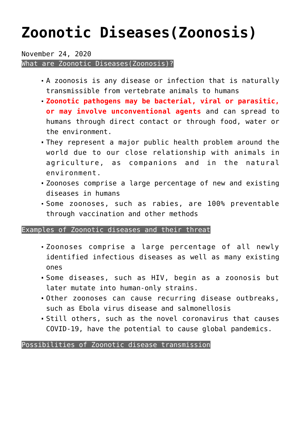## **[Zoonotic Diseases\(Zoonosis\)](https://journalsofindia.com/zoonotic-diseaseszoonosis/)**

November 24, 2020

What are Zoonotic Diseases(Zoonosis)?

- A zoonosis is any disease or infection that is naturally transmissible from vertebrate animals to humans
- **Zoonotic pathogens may be bacterial, viral or parasitic, or may involve unconventional agents** and can spread to humans through direct contact or through food, water or the environment.
- They represent a major public health problem around the world due to our close relationship with animals in agriculture, as companions and in the natural environment.
- Zoonoses comprise a large percentage of new and existing diseases in humans
- Some zoonoses, such as rabies, are 100% preventable through vaccination and other methods

Examples of Zoonotic diseases and their threat

- Zoonoses comprise a large percentage of all newly identified infectious diseases as well as many existing ones
- Some diseases, such as HIV, begin as a zoonosis but later mutate into human-only strains.
- Other zoonoses can cause recurring disease outbreaks, such as Ebola virus disease and salmonellosis
- Still others, such as the novel coronavirus that causes COVID-19, have the potential to cause global pandemics.

Possibilities of Zoonotic disease transmission